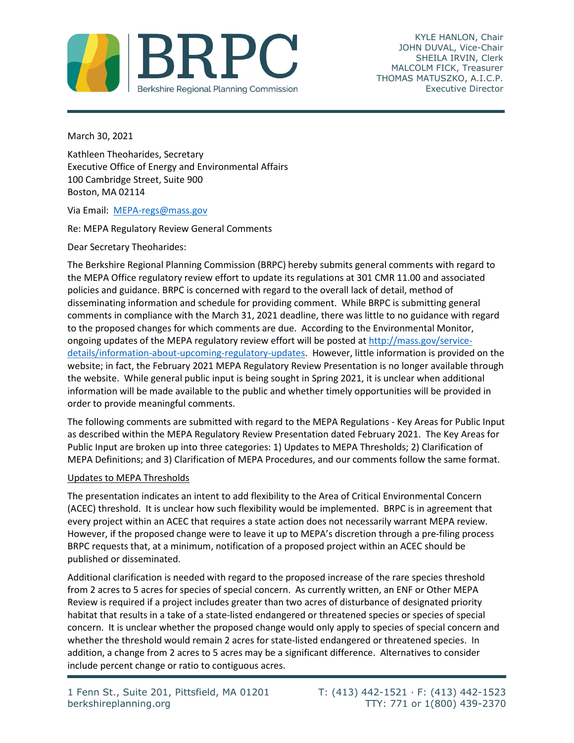

KYLE HANLON, Chair JOHN DUVAL, Vice-Chair SHEILA IRVIN, Clerk MALCOLM FICK, Treasurer THOMAS MATUSZKO, A.I.C.P. Executive Director

March 30, 2021

Kathleen Theoharides, Secretary Executive Office of Energy and Environmental Affairs 100 Cambridge Street, Suite 900 Boston, MA 02114

Via Email: [MEPA-regs@mass.gov](mailto:MEPA-regs@mass.gov)

Re: MEPA Regulatory Review General Comments

Dear Secretary Theoharides:

The Berkshire Regional Planning Commission (BRPC) hereby submits general comments with regard to the MEPA Office regulatory review effort to update its regulations at 301 CMR 11.00 and associated policies and guidance. BRPC is concerned with regard to the overall lack of detail, method of disseminating information and schedule for providing comment. While BRPC is submitting general comments in compliance with the March 31, 2021 deadline, there was little to no guidance with regard to the proposed changes for which comments are due. According to the Environmental Monitor, ongoing updates of the MEPA regulatory review effort will be posted a[t http://mass.gov/service](http://mass.gov/service-details/information-about-upcoming-regulatory-updates)[details/information-about-upcoming-regulatory-updates.](http://mass.gov/service-details/information-about-upcoming-regulatory-updates) However, little information is provided on the website; in fact, the February 2021 MEPA Regulatory Review Presentation is no longer available through the website. While general public input is being sought in Spring 2021, it is unclear when additional information will be made available to the public and whether timely opportunities will be provided in order to provide meaningful comments.

The following comments are submitted with regard to the MEPA Regulations - Key Areas for Public Input as described within the MEPA Regulatory Review Presentation dated February 2021. The Key Areas for Public Input are broken up into three categories: 1) Updates to MEPA Thresholds; 2) Clarification of MEPA Definitions; and 3) Clarification of MEPA Procedures, and our comments follow the same format.

# Updates to MEPA Thresholds

The presentation indicates an intent to add flexibility to the Area of Critical Environmental Concern (ACEC) threshold. It is unclear how such flexibility would be implemented. BRPC is in agreement that every project within an ACEC that requires a state action does not necessarily warrant MEPA review. However, if the proposed change were to leave it up to MEPA's discretion through a pre-filing process BRPC requests that, at a minimum, notification of a proposed project within an ACEC should be published or disseminated.

Additional clarification is needed with regard to the proposed increase of the rare species threshold from 2 acres to 5 acres for species of special concern. As currently written, an ENF or Other MEPA Review is required if a project includes greater than two acres of disturbance of designated priority habitat that results in a take of a state-listed endangered or threatened species or species of special concern. It is unclear whether the proposed change would only apply to species of special concern and whether the threshold would remain 2 acres for state-listed endangered or threatened species. In addition, a change from 2 acres to 5 acres may be a significant difference. Alternatives to consider include percent change or ratio to contiguous acres.